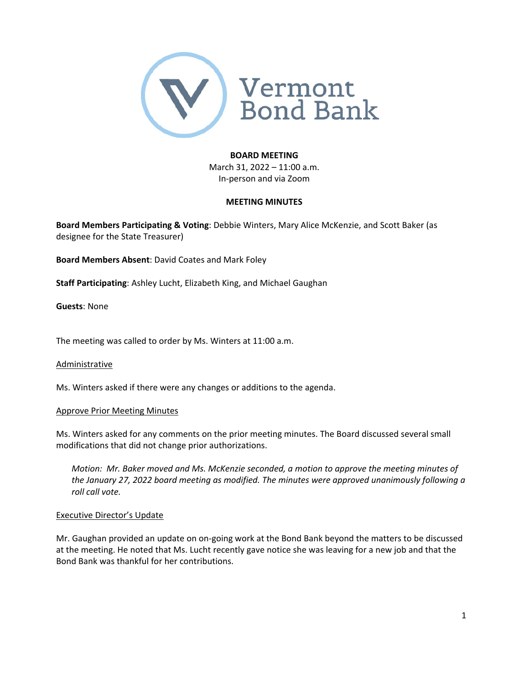

#### **BOARD MEETING**

March 31, 2022 – 11:00 a.m. In‐person and via Zoom

### **MEETING MINUTES**

**Board Members Participating & Voting**: Debbie Winters, Mary Alice McKenzie, and Scott Baker (as designee for the State Treasurer)

**Board Members Absent**: David Coates and Mark Foley

**Staff Participating**: Ashley Lucht, Elizabeth King, and Michael Gaughan

**Guests**: None

The meeting was called to order by Ms. Winters at 11:00 a.m.

#### Administrative

Ms. Winters asked if there were any changes or additions to the agenda.

#### Approve Prior Meeting Minutes

Ms. Winters asked for any comments on the prior meeting minutes. The Board discussed several small modifications that did not change prior authorizations.

*Motion: Mr. Baker moved and Ms. McKenzie seconded, a motion to approve the meeting minutes of the January 27, 2022 board meeting as modified. The minutes were approved unanimously following a roll call vote.*

#### Executive Director's Update

Mr. Gaughan provided an update on on‐going work at the Bond Bank beyond the matters to be discussed at the meeting. He noted that Ms. Lucht recently gave notice she was leaving for a new job and that the Bond Bank was thankful for her contributions.